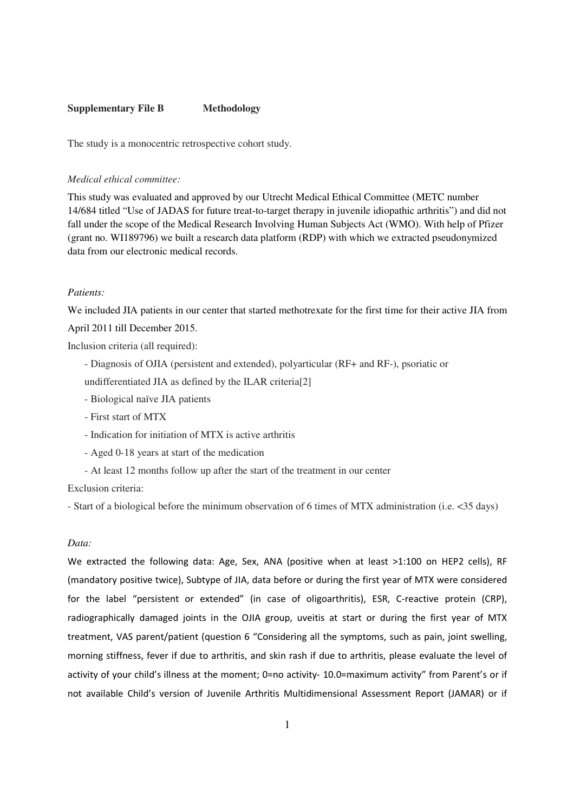#### **Supplementary File B Methodology**

The study is a monocentric retrospective cohort study.

### *Medical ethical committee:*

This study was evaluated and approved by our Utrecht Medical Ethical Committee (METC number 14/684 titled "Use of JADAS for future treat-to-target therapy in juvenile idiopathic arthritis") and did not fall under the scope of the Medical Research Involving Human Subjects Act (WMO). With help of Pfizer (grant no. WI189796) we built a research data platform (RDP) with which we extracted pseudonymized data from our electronic medical records.

### *Patients:*

We included JIA patients in our center that started methotrexate for the first time for their active JIA from April 2011 till December 2015.

Inclusion criteria (all required):

- Diagnosis of OJIA (persistent and extended), polyarticular (RF+ and RF-), psoriatic or
- undifferentiated JIA as defined by the ILAR criteria[2]
- Biological naïve JIA patients
- First start of MTX
- Indication for initiation of MTX is active arthritis
- Aged 0-18 years at start of the medication
- At least 12 months follow up after the start of the treatment in our center

Exclusion criteria:

- Start of a biological before the minimum observation of 6 times of MTX administration (i.e. <35 days)

## *Data:*

We extracted the following data: Age, Sex, ANA (positive when at least >1:100 on HEP2 cells), RF (mandatory positive twice), Subtype of JIA, data before or during the first year of MTX were considered for the label "persistent or extended" (in case of oligoarthritis), ESR, C-reactive protein (CRP), radiographically damaged joints in the OJIA group, uveitis at start or during the first year of MTX treatment, VAS parent/patient (question 6 "Considering all the symptoms, such as pain, joint swelling, morning stiffness, fever if due to arthritis, and skin rash if due to arthritis, please evaluate the level of activity of your child's illness at the moment; 0=no activity- 10.0=maximum activity" from Parent's or if not available Child's version of Juvenile Arthritis Multidimensional Assessment Report (JAMAR) or if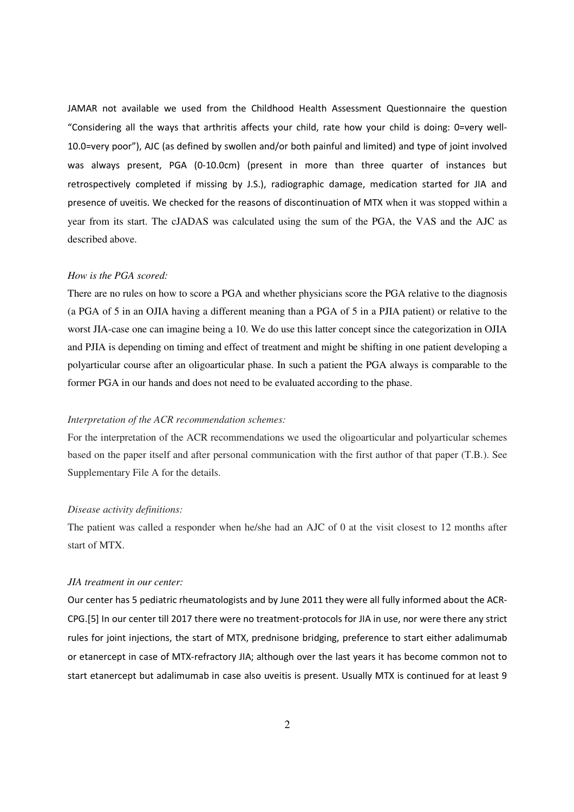JAMAR not available we used from the Childhood Health Assessment Questionnaire the question "Considering all the ways that arthritis affects your child, rate how your child is doing: 0=very well-10.0=very poor"), AJC (as defined by swollen and/or both painful and limited) and type of joint involved was always present, PGA (0-10.0cm) (present in more than three quarter of instances but retrospectively completed if missing by J.S.), radiographic damage, medication started for JIA and presence of uveitis. We checked for the reasons of discontinuation of MTX when it was stopped within a year from its start. The cJADAS was calculated using the sum of the PGA, the VAS and the AJC as described above.

### *How is the PGA scored:*

There are no rules on how to score a PGA and whether physicians score the PGA relative to the diagnosis (a PGA of 5 in an OJIA having a different meaning than a PGA of 5 in a PJIA patient) or relative to the worst JIA-case one can imagine being a 10. We do use this latter concept since the categorization in OJIA and PJIA is depending on timing and effect of treatment and might be shifting in one patient developing a polyarticular course after an oligoarticular phase. In such a patient the PGA always is comparable to the former PGA in our hands and does not need to be evaluated according to the phase.

## *Interpretation of the ACR recommendation schemes:*

For the interpretation of the ACR recommendations we used the oligoarticular and polyarticular schemes based on the paper itself and after personal communication with the first author of that paper (T.B.). See Supplementary File A for the details.

### *Disease activity definitions:*

The patient was called a responder when he/she had an AJC of 0 at the visit closest to 12 months after start of MTX.

#### *JIA treatment in our center:*

Our center has 5 pediatric rheumatologists and by June 2011 they were all fully informed about the ACR-CPG.[5] In our center till 2017 there were no treatment-protocols for JIA in use, nor were there any strict rules for joint injections, the start of MTX, prednisone bridging, preference to start either adalimumab or etanercept in case of MTX-refractory JIA; although over the last years it has become common not to start etanercept but adalimumab in case also uveitis is present. Usually MTX is continued for at least 9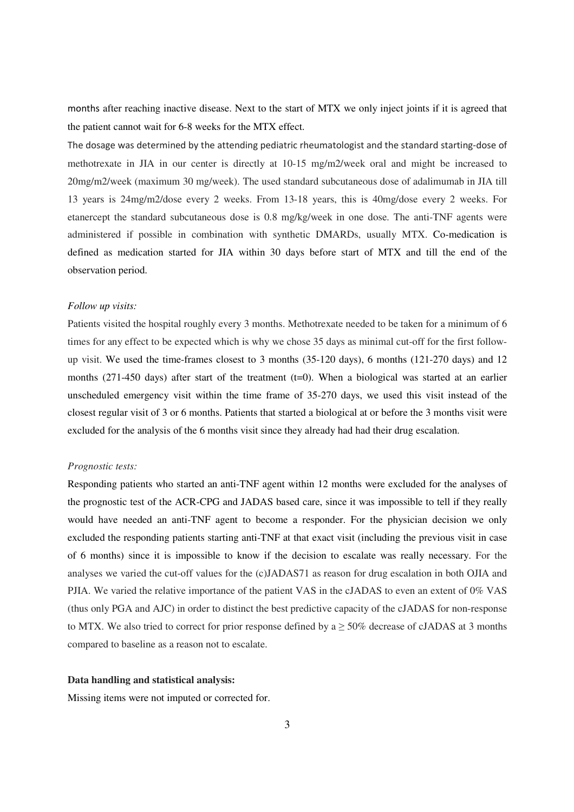months after reaching inactive disease. Next to the start of MTX we only inject joints if it is agreed that the patient cannot wait for 6-8 weeks for the MTX effect.

The dosage was determined by the attending pediatric rheumatologist and the standard starting-dose of methotrexate in JIA in our center is directly at 10-15 mg/m2/week oral and might be increased to 20mg/m2/week (maximum 30 mg/week). The used standard subcutaneous dose of adalimumab in JIA till 13 years is 24mg/m2/dose every 2 weeks. From 13-18 years, this is 40mg/dose every 2 weeks. For etanercept the standard subcutaneous dose is 0.8 mg/kg/week in one dose. The anti-TNF agents were administered if possible in combination with synthetic DMARDs, usually MTX. Co-medication is defined as medication started for JIA within 30 days before start of MTX and till the end of the observation period.

## *Follow up visits:*

Patients visited the hospital roughly every 3 months. Methotrexate needed to be taken for a minimum of 6 times for any effect to be expected which is why we chose 35 days as minimal cut-off for the first followup visit. We used the time-frames closest to 3 months (35-120 days), 6 months (121-270 days) and 12 months (271-450 days) after start of the treatment (t=0). When a biological was started at an earlier unscheduled emergency visit within the time frame of 35-270 days, we used this visit instead of the closest regular visit of 3 or 6 months. Patients that started a biological at or before the 3 months visit were excluded for the analysis of the 6 months visit since they already had had their drug escalation.

### *Prognostic tests:*

Responding patients who started an anti-TNF agent within 12 months were excluded for the analyses of the prognostic test of the ACR-CPG and JADAS based care, since it was impossible to tell if they really would have needed an anti-TNF agent to become a responder. For the physician decision we only excluded the responding patients starting anti-TNF at that exact visit (including the previous visit in case of 6 months) since it is impossible to know if the decision to escalate was really necessary. For the analyses we varied the cut-off values for the (c)JADAS71 as reason for drug escalation in both OJIA and PJIA. We varied the relative importance of the patient VAS in the cJADAS to even an extent of 0% VAS (thus only PGA and AJC) in order to distinct the best predictive capacity of the cJADAS for non-response to MTX. We also tried to correct for prior response defined by a  $\geq$  50% decrease of cJADAS at 3 months compared to baseline as a reason not to escalate.

# **Data handling and statistical analysis:**

Missing items were not imputed or corrected for.